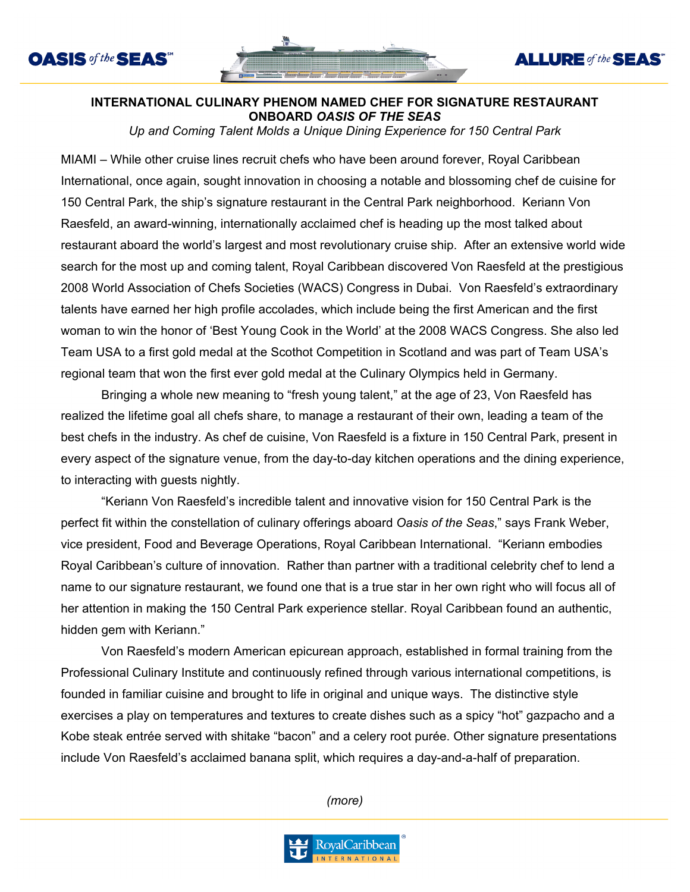



**ALLURE** of the **SEAS** 

## **INTERNATIONAL CULINARY PHENOM NAMED CHEF FOR SIGNATURE RESTAURANT ONBOARD** *OASIS OF THE SEAS*

*Up and Coming Talent Molds a Unique Dining Experience for 150 Central Park* 

MIAMI – While other cruise lines recruit chefs who have been around forever, Royal Caribbean International, once again, sought innovation in choosing a notable and blossoming chef de cuisine for 150 Central Park, the ship's signature restaurant in the Central Park neighborhood. Keriann Von Raesfeld, an award-winning, internationally acclaimed chef is heading up the most talked about restaurant aboard the world's largest and most revolutionary cruise ship. After an extensive world wide search for the most up and coming talent, Royal Caribbean discovered Von Raesfeld at the prestigious 2008 World Association of Chefs Societies (WACS) Congress in Dubai. Von Raesfeld's extraordinary talents have earned her high profile accolades, which include being the first American and the first woman to win the honor of 'Best Young Cook in the World' at the 2008 WACS Congress. She also led Team USA to a first gold medal at the Scothot Competition in Scotland and was part of Team USA's regional team that won the first ever gold medal at the Culinary Olympics held in Germany.

Bringing a whole new meaning to "fresh young talent," at the age of 23, Von Raesfeld has realized the lifetime goal all chefs share, to manage a restaurant of their own, leading a team of the best chefs in the industry. As chef de cuisine, Von Raesfeld is a fixture in 150 Central Park, present in every aspect of the signature venue, from the day-to-day kitchen operations and the dining experience, to interacting with guests nightly.

"Keriann Von Raesfeld's incredible talent and innovative vision for 150 Central Park is the perfect fit within the constellation of culinary offerings aboard *Oasis of the Seas*," says Frank Weber, vice president, Food and Beverage Operations, Royal Caribbean International. "Keriann embodies Royal Caribbean's culture of innovation. Rather than partner with a traditional celebrity chef to lend a name to our signature restaurant, we found one that is a true star in her own right who will focus all of her attention in making the 150 Central Park experience stellar. Royal Caribbean found an authentic, hidden gem with Keriann."

Von Raesfeld's modern American epicurean approach, established in formal training from the Professional Culinary Institute and continuously refined through various international competitions, is founded in familiar cuisine and brought to life in original and unique ways. The distinctive style exercises a play on temperatures and textures to create dishes such as a spicy "hot" gazpacho and a Kobe steak entrée served with shitake "bacon" and a celery root purée. Other signature presentations include Von Raesfeld's acclaimed banana split, which requires a day-and-a-half of preparation.

*(more)*